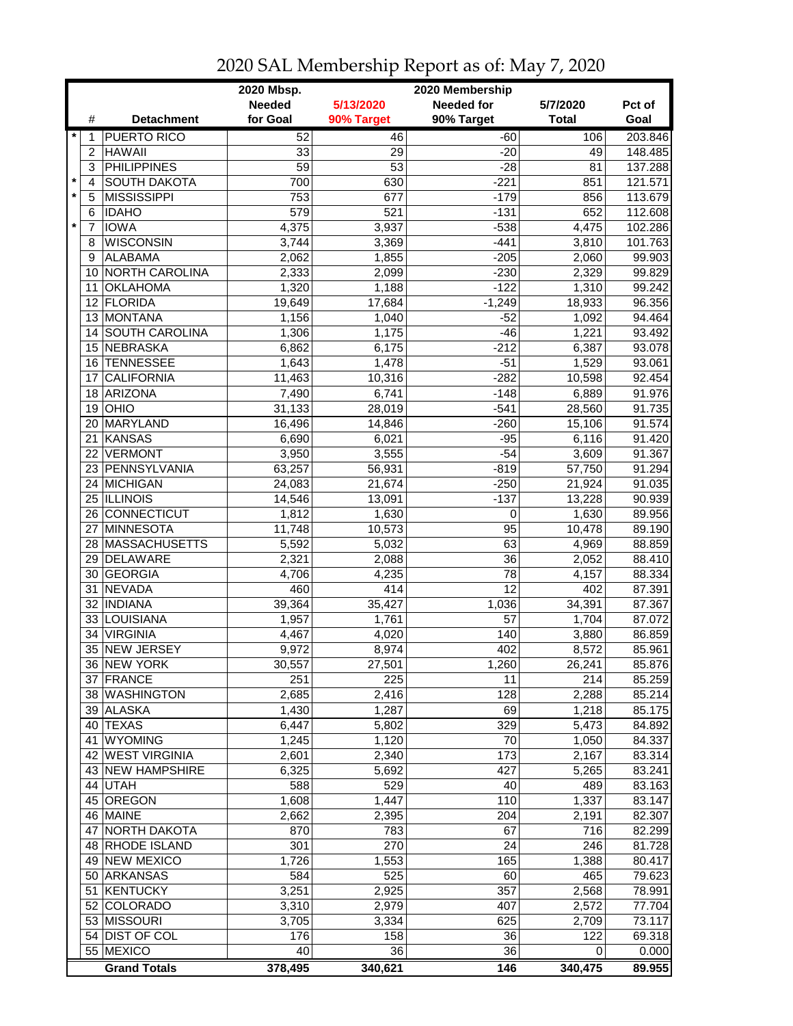|         |                | 2020 Mbsp.<br>2020 Membership |                 |               |                   |                   |                  |  |
|---------|----------------|-------------------------------|-----------------|---------------|-------------------|-------------------|------------------|--|
|         |                |                               | <b>Needed</b>   | 5/13/2020     | <b>Needed for</b> | 5/7/2020          | Pct of           |  |
|         | #              | <b>Detachment</b>             | for Goal        | 90% Target    | 90% Target        | <b>Total</b>      | Goal             |  |
| $\star$ | 1              | <b>PUERTO RICO</b>            | 52              | 46            | $-60$             | 106               | 203.846          |  |
|         | 2              | <b>HAWAII</b>                 | 33              | 29            | $-20$             | 49                | 148.485          |  |
|         | 3              | <b>PHILIPPINES</b>            | $\overline{59}$ | 53            | $-28$             | 81                | 137.288          |  |
| $\star$ | $\overline{4}$ | <b>SOUTH DAKOTA</b>           | 700             | 630           | $-221$            | 851               | 121.571          |  |
| $\star$ | 5              | <b>MISSISSIPPI</b>            | 753             | 677           | $-179$            | 856               | 113.679          |  |
|         | 6              | <b>IDAHO</b>                  | 579             | 521           | $-131$            | 652               | 112.608          |  |
| $\star$ | $\overline{7}$ | <b>IOWA</b>                   | 4,375           | 3,937         | $-538$            | 4,475             | 102.286          |  |
|         | 8              | <b>WISCONSIN</b>              | 3,744           | 3,369         | $-441$            | 3,810             | 101.763          |  |
|         |                | <b>ALABAMA</b>                |                 |               |                   |                   |                  |  |
|         | 9              |                               | 2,062           | 1,855         | $-205$            | 2,060             | 99.903           |  |
|         | 10             | <b>NORTH CAROLINA</b>         | 2,333           | 2,099         | $-230$            | 2,329             | 99.829           |  |
|         | 11             | <b>OKLAHOMA</b>               | 1,320           | 1,188         | $-122$            | 1,310             | 99.242           |  |
|         | 12             | <b>FLORIDA</b>                | 19,649          | 17,684        | $-1,249$          | 18,933            | 96.356           |  |
|         | 13             | <b>MONTANA</b>                | 1,156           | 1,040         | $-52$             | 1,092             | 94.464           |  |
|         |                | 14 SOUTH CAROLINA             | 1,306           | 1,175         | $-46$             | 1,221             | 93.492           |  |
|         |                | 15 NEBRASKA                   | 6,862           | 6,175         | $-212$            | 6,387             | 93.078           |  |
|         | 16             | <b>TENNESSEE</b>              | 1,643           | 1,478         | $-51$             | 1,529             | 93.061           |  |
|         | 17             | <b>CALIFORNIA</b>             | 11,463          | 10,316        | $-282$            | 10,598            | 92.454           |  |
|         | 18             | <b>ARIZONA</b>                | 7,490           | 6,741         | $-148$            | 6,889             | 91.976           |  |
|         | 19             | OHIO                          | 31,133          | 28,019        | $-541$            | 28,560            | 91.735           |  |
|         | 20             | MARYLAND                      | 16,496          | 14,846        | $-260$            | 15,106            | 91.574           |  |
|         | 21             | <b>KANSAS</b>                 | 6,690           | 6,021         | $-95$             | 6,116             | 91.420           |  |
|         | 22             | <b>VERMONT</b>                | 3,950           | 3,555         | $-54$             | 3,609             | 91.367           |  |
|         |                | 23 PENNSYLVANIA               | 63,257          | 56,931        | $-819$            | 57,750            | 91.294           |  |
|         |                | 24 MICHIGAN                   | 24,083          | 21,674        | $-250$            | 21,924            | 91.035           |  |
|         |                | 25 ILLINOIS                   | 14,546          | 13,091        | $-137$            | 13,228            | 90.939           |  |
|         |                | 26 CONNECTICUT                | 1,812           | 1,630         | $\mathbf 0$       | 1,630             | 89.956           |  |
|         | 27             | <b>MINNESOTA</b>              | 11,748          | 10,573        | $\overline{95}$   | 10,478            | 89.190           |  |
|         |                | 28 MASSACHUSETTS              | 5,592           | 5,032         | 63                | 4,969             | 88.859           |  |
|         |                | 29 DELAWARE                   | 2,321           | 2,088         | 36                | 2,052             | 88.410           |  |
|         | 30             | <b>GEORGIA</b>                | 4,706           | 4,235         | 78                | 4,157             | 88.334           |  |
|         | 31             | <b>NEVADA</b>                 | 460             | 414           | 12                | 402               | 87.391           |  |
|         |                | 32   INDIANA                  | 39,364          | 35,427        | 1,036             | 34,391            | 87.367           |  |
|         |                | 33 LOUISIANA                  | 1,957           | 1,761         | 57                | 1,704             | 87.072           |  |
|         | 34             | <b>VIRGINIA</b>               | 4,467           | 4,020         | 140               | 3,880             | 86.859           |  |
|         | 35             | <b>NEW JERSEY</b>             | 9,972           | 8,974         | 402               | 8,572             | 85.961           |  |
|         |                | 36 INEW YORK                  |                 |               |                   |                   |                  |  |
|         |                | 37 FRANCE                     | 30,557<br>251   | 27,501<br>225 | 1,260<br>11       | 26,241<br>214     | 85.876<br>85.259 |  |
|         |                | 38 WASHINGTON                 | 2,685           |               |                   |                   |                  |  |
|         |                |                               |                 | 2,416         | 128               | 2,288             | 85.214           |  |
|         |                | 39 ALASKA                     | 1,430           | 1,287         | 69                | 1,218             | 85.175           |  |
|         |                | 40 TEXAS                      | 6,447           | 5,802         | 329               | 5,473             | 84.892           |  |
|         | 41             | <b>WYOMING</b>                | 1,245           | 1,120         | 70                | 1,050             | 84.337           |  |
|         |                | 42 WEST VIRGINIA              | 2,601           | 2,340         | 173               | 2,167             | 83.314           |  |
|         |                | 43 NEW HAMPSHIRE              | 6,325           | 5,692         | 427               | 5,265             | 83.241           |  |
|         |                | 44 UTAH                       | 588             | 529           | 40                | 489               | 83.163           |  |
|         |                | 45 OREGON                     | 1,608           | 1,447         | 110               | 1,337             | 83.147           |  |
|         |                | 46 MAINE                      | 2,662           | 2,395         | 204               | 2,191             | 82.307           |  |
|         | 47             | <b>NORTH DAKOTA</b>           | 870             | 783           | 67                | 716               | 82.299           |  |
|         |                | 48 RHODE ISLAND               | 301             | 270           | 24                | $\overline{2}$ 46 | 81.728           |  |
|         |                | 49 NEW MEXICO                 | 1,726           | 1,553         | 165               | 1,388             | 80.417           |  |
|         |                | 50 ARKANSAS                   | 584             | 525           | 60                | 465               | 79.623           |  |
|         | 51             | KENTUCKY                      | 3,251           | 2,925         | 357               | 2,568             | 78.991           |  |
|         |                | 52 COLORADO                   | 3,310           | 2,979         | 407               | 2,572             | 77.704           |  |
|         |                | 53 MISSOURI                   | 3,705           | 3,334         | 625               | 2,709             | 73.117           |  |
|         |                | 54 DIST OF COL                | 176             | 158           | 36                | 122               | 69.318           |  |
|         |                | 55 MEXICO                     | 40              | 36            | 36                | 0                 | 0.000            |  |
|         |                | <b>Grand Totals</b>           | 378,495         | 340,621       | 146               | 340,475           | 89.955           |  |

## 2020 SAL Membership Report as of: May 7, 2020